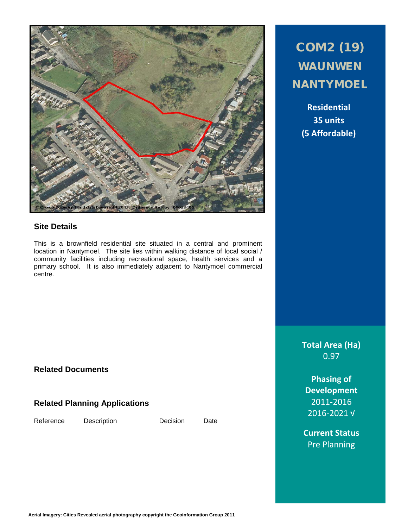

## **Site Details**

This is a brownfield residential site situated in a central and prominent location in Nantymoel. The site lies within walking distance of local social / community facilities including recreational space, health services and a primary school. It is also immediately adjacent to Nantymoel commercial centre.

## **Related Documents**

## **Related Planning Applications**

Reference Description Decision Date

# COM2 (19) WAUNWEN **NANTYMOEL**

**Residential 35 units (5 Affordable)**

**Total Area (Ha)** 0.97

**Phasing of Development** 2011-2016 2016-2021 √

**Current Status** Pre Planning